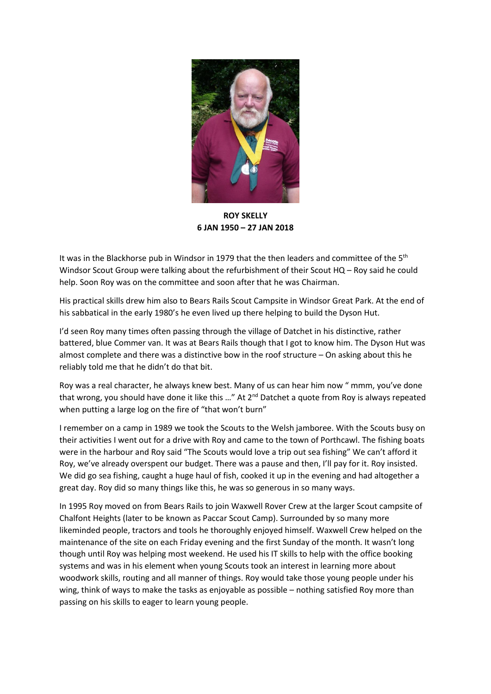

**ROY SKELLY 6 JAN 1950 – 27 JAN 2018**

It was in the Blackhorse pub in Windsor in 1979 that the then leaders and committee of the  $5<sup>th</sup>$ Windsor Scout Group were talking about the refurbishment of their Scout HQ – Roy said he could help. Soon Roy was on the committee and soon after that he was Chairman.

His practical skills drew him also to Bears Rails Scout Campsite in Windsor Great Park. At the end of his sabbatical in the early 1980's he even lived up there helping to build the Dyson Hut.

I'd seen Roy many times often passing through the village of Datchet in his distinctive, rather battered, blue Commer van. It was at Bears Rails though that I got to know him. The Dyson Hut was almost complete and there was a distinctive bow in the roof structure – On asking about this he reliably told me that he didn't do that bit.

Roy was a real character, he always knew best. Many of us can hear him now " mmm, you've done that wrong, you should have done it like this ..." At  $2<sup>nd</sup>$  Datchet a quote from Roy is always repeated when putting a large log on the fire of "that won't burn"

I remember on a camp in 1989 we took the Scouts to the Welsh jamboree. With the Scouts busy on their activities I went out for a drive with Roy and came to the town of Porthcawl. The fishing boats were in the harbour and Roy said "The Scouts would love a trip out sea fishing" We can't afford it Roy, we've already overspent our budget. There was a pause and then, I'll pay for it. Roy insisted. We did go sea fishing, caught a huge haul of fish, cooked it up in the evening and had altogether a great day. Roy did so many things like this, he was so generous in so many ways.

In 1995 Roy moved on from Bears Rails to join Waxwell Rover Crew at the larger Scout campsite of Chalfont Heights (later to be known as Paccar Scout Camp). Surrounded by so many more likeminded people, tractors and tools he thoroughly enjoyed himself. Waxwell Crew helped on the maintenance of the site on each Friday evening and the first Sunday of the month. It wasn't long though until Roy was helping most weekend. He used his IT skills to help with the office booking systems and was in his element when young Scouts took an interest in learning more about woodwork skills, routing and all manner of things. Roy would take those young people under his wing, think of ways to make the tasks as enjoyable as possible – nothing satisfied Roy more than passing on his skills to eager to learn young people.